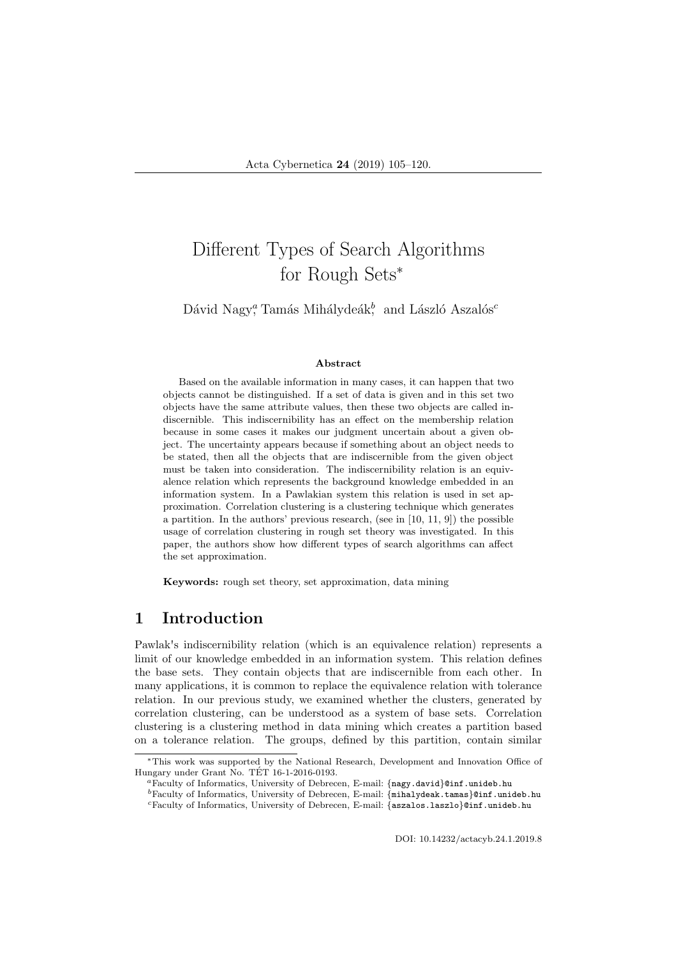# Different Types of Search Algorithms for Rough Sets<sup>∗</sup>

Dávid Nagy<sup>a</sup>, Tamás Mihálydeák<sup>b</sup>, and László Aszalós<sup>c</sup>

#### Abstract

Based on the available information in many cases, it can happen that two objects cannot be distinguished. If a set of data is given and in this set two objects have the same attribute values, then these two objects are called indiscernible. This indiscernibility has an effect on the membership relation because in some cases it makes our judgment uncertain about a given object. The uncertainty appears because if something about an object needs to be stated, then all the objects that are indiscernible from the given object must be taken into consideration. The indiscernibility relation is an equivalence relation which represents the background knowledge embedded in an information system. In a Pawlakian system this relation is used in set approximation. Correlation clustering is a clustering technique which generates a partition. In the authors' previous research, (see in  $[10, 11, 9]$ ) the possible usage of correlation clustering in rough set theory was investigated. In this paper, the authors show how different types of search algorithms can affect the set approximation.

Keywords: rough set theory, set approximation, data mining

# 1 Introduction

Pawlak's indiscernibility relation (which is an equivalence relation) represents a limit of our knowledge embedded in an information system. This relation defines the base sets. They contain objects that are indiscernible from each other. In many applications, it is common to replace the equivalence relation with tolerance relation. In our previous study, we examined whether the clusters, generated by correlation clustering, can be understood as a system of base sets. Correlation clustering is a clustering method in data mining which creates a partition based on a tolerance relation. The groups, defined by this partition, contain similar

DOI: 10.14232/actacyb.24.1.2019.8

<sup>∗</sup>This work was supported by the National Research, Development and Innovation Office of Hungary under Grant No. TET 16-1-2016-0193. ´

<sup>a</sup>Faculty of Informatics, University of Debrecen, E-mail: {nagy.david}@inf.unideb.hu

<sup>b</sup>Faculty of Informatics, University of Debrecen, E-mail: {mihalydeak.tamas}@inf.unideb.hu  $c$ Faculty of Informatics, University of Debrecen, E-mail: {aszalos.laszlo}@inf.unideb.hu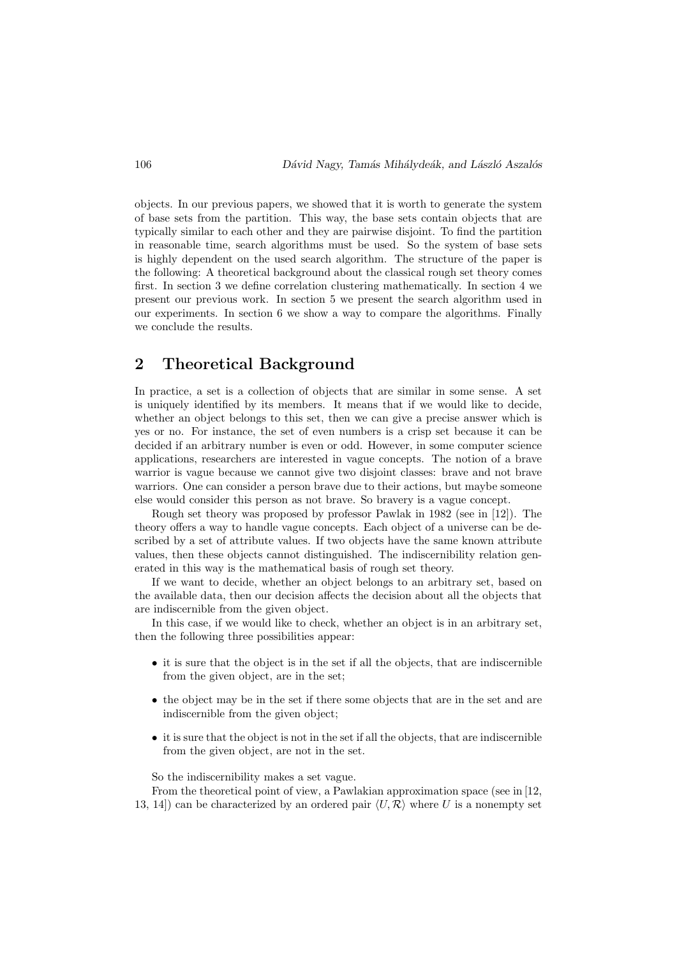objects. In our previous papers, we showed that it is worth to generate the system of base sets from the partition. This way, the base sets contain objects that are typically similar to each other and they are pairwise disjoint. To find the partition in reasonable time, search algorithms must be used. So the system of base sets is highly dependent on the used search algorithm. The structure of the paper is the following: A theoretical background about the classical rough set theory comes first. In section 3 we define correlation clustering mathematically. In section 4 we present our previous work. In section 5 we present the search algorithm used in our experiments. In section 6 we show a way to compare the algorithms. Finally we conclude the results.

## 2 Theoretical Background

In practice, a set is a collection of objects that are similar in some sense. A set is uniquely identified by its members. It means that if we would like to decide, whether an object belongs to this set, then we can give a precise answer which is yes or no. For instance, the set of even numbers is a crisp set because it can be decided if an arbitrary number is even or odd. However, in some computer science applications, researchers are interested in vague concepts. The notion of a brave warrior is vague because we cannot give two disjoint classes: brave and not brave warriors. One can consider a person brave due to their actions, but maybe someone else would consider this person as not brave. So bravery is a vague concept.

Rough set theory was proposed by professor Pawlak in 1982 (see in [12]). The theory offers a way to handle vague concepts. Each object of a universe can be described by a set of attribute values. If two objects have the same known attribute values, then these objects cannot distinguished. The indiscernibility relation generated in this way is the mathematical basis of rough set theory.

If we want to decide, whether an object belongs to an arbitrary set, based on the available data, then our decision affects the decision about all the objects that are indiscernible from the given object.

In this case, if we would like to check, whether an object is in an arbitrary set, then the following three possibilities appear:

- it is sure that the object is in the set if all the objects, that are indiscernible from the given object, are in the set;
- the object may be in the set if there some objects that are in the set and are indiscernible from the given object;
- it is sure that the object is not in the set if all the objects, that are indiscernible from the given object, are not in the set.

So the indiscernibility makes a set vague.

From the theoretical point of view, a Pawlakian approximation space (see in [12, 13, 14) can be characterized by an ordered pair  $\langle U, \mathcal{R} \rangle$  where U is a nonempty set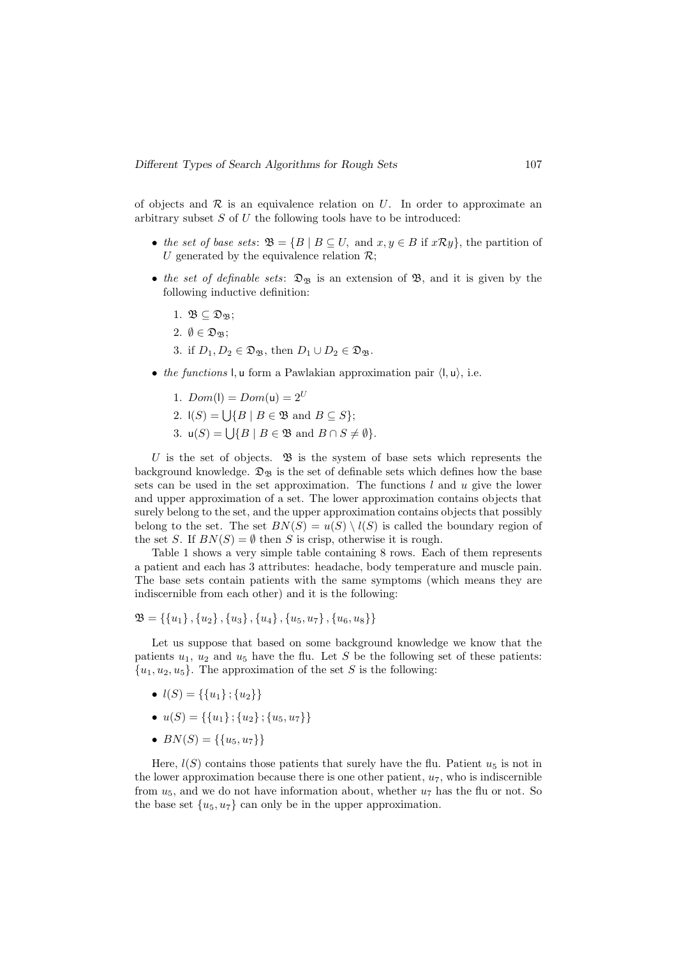of objects and  $R$  is an equivalence relation on U. In order to approximate an arbitrary subset  $S$  of  $U$  the following tools have to be introduced:

- the set of base sets:  $\mathfrak{B} = \{B \mid B \subseteq U$ , and  $x, y \in B$  if  $x \mathcal{R} y\}$ , the partition of U generated by the equivalence relation  $\mathcal{R}$ ;
- the set of definable sets:  $\mathfrak{D}_{\mathfrak{B}}$  is an extension of  $\mathfrak{B}$ , and it is given by the following inductive definition:
	- 1.  $\mathfrak{B} \subseteq \mathfrak{D}_{\mathfrak{B}}$ ;
	- 2.  $\emptyset \in \mathfrak{D}_{\mathfrak{B}}$ :
	- 3. if  $D_1, D_2 \in \mathfrak{D}_{\mathfrak{B}}$ , then  $D_1 \cup D_2 \in \mathfrak{D}_{\mathfrak{B}}$ .
- the functions l, u form a Pawlakian approximation pair  $\langle \mathbf{l}, \mathbf{u} \rangle$ , i.e.
	- 1.  $Dom(I) = Dom(u) = 2^U$
	- 2.  $I(S) = \bigcup \{ B \mid B \in \mathfrak{B} \text{ and } B \subseteq S \};$
	- 3.  $u(S) = \bigcup \{ B \mid B \in \mathfrak{B} \text{ and } B \cap S \neq \emptyset \}.$

U is the set of objects.  $\mathfrak{B}$  is the system of base sets which represents the background knowledge.  $\mathfrak{D}_{\mathfrak{B}}$  is the set of definable sets which defines how the base sets can be used in the set approximation. The functions  $l$  and  $u$  give the lower and upper approximation of a set. The lower approximation contains objects that surely belong to the set, and the upper approximation contains objects that possibly belong to the set. The set  $BN(S) = u(S) \setminus l(S)$  is called the boundary region of the set S. If  $BN(S) = \emptyset$  then S is crisp, otherwise it is rough.

Table 1 shows a very simple table containing 8 rows. Each of them represents a patient and each has 3 attributes: headache, body temperature and muscle pain. The base sets contain patients with the same symptoms (which means they are indiscernible from each other) and it is the following:

$$
\mathfrak{B} = \{\{u_1\}, \{u_2\}, \{u_3\}, \{u_4\}, \{u_5, u_7\}, \{u_6, u_8\}\}\
$$

Let us suppose that based on some background knowledge we know that the patients  $u_1, u_2$  and  $u_5$  have the flu. Let S be the following set of these patients:  $\{u_1, u_2, u_5\}.$  The approximation of the set S is the following:

- $l(S) = \{\{u_1\}; \{u_2\}\}\$
- $u(S) = \{\{u_1\}; \{u_2\}; \{u_5, u_7\}\}\$
- $BN(S) = \{\{u_5, u_7\}\}\$

Here,  $l(S)$  contains those patients that surely have the flu. Patient  $u_5$  is not in the lower approximation because there is one other patient,  $u_7$ , who is indiscernible from  $u_5$ , and we do not have information about, whether  $u_7$  has the flu or not. So the base set  $\{u_5, u_7\}$  can only be in the upper approximation.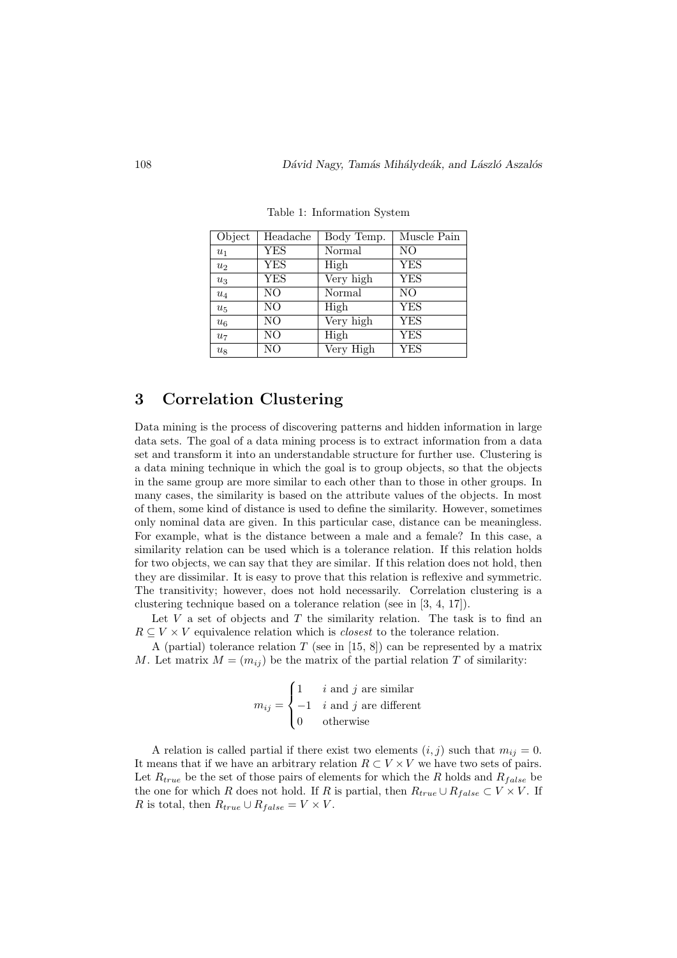| Object | Headache       | Body Temp. | $\overline{\text{M}}$ uscle Pain |
|--------|----------------|------------|----------------------------------|
| $u_1$  | <b>YES</b>     | Normal     | NO                               |
| $u_2$  | <b>YES</b>     | High       | <b>YES</b>                       |
| $u_3$  | <b>YES</b>     | Very high  | <b>YES</b>                       |
| $u_4$  | N <sub>O</sub> | Normal     | N <sub>O</sub>                   |
| $u_5$  | N <sub>O</sub> | High       | <b>YES</b>                       |
| $u_6$  | N <sub>O</sub> | Very high  | <b>YES</b>                       |
| $u_7$  | N <sub>O</sub> | High       | <b>YES</b>                       |
| $u_8$  | N <sub>O</sub> | Very High  | <b>YES</b>                       |

Table 1: Information System

# 3 Correlation Clustering

Data mining is the process of discovering patterns and hidden information in large data sets. The goal of a data mining process is to extract information from a data set and transform it into an understandable structure for further use. Clustering is a data mining technique in which the goal is to group objects, so that the objects in the same group are more similar to each other than to those in other groups. In many cases, the similarity is based on the attribute values of the objects. In most of them, some kind of distance is used to define the similarity. However, sometimes only nominal data are given. In this particular case, distance can be meaningless. For example, what is the distance between a male and a female? In this case, a similarity relation can be used which is a tolerance relation. If this relation holds for two objects, we can say that they are similar. If this relation does not hold, then they are dissimilar. It is easy to prove that this relation is reflexive and symmetric. The transitivity; however, does not hold necessarily. Correlation clustering is a clustering technique based on a tolerance relation (see in [3, 4, 17]).

Let  $V$  a set of objects and  $T$  the similarity relation. The task is to find an  $R \subseteq V \times V$  equivalence relation which is *closest* to the tolerance relation.

A (partial) tolerance relation  $T$  (see in [15, 8]) can be represented by a matrix M. Let matrix  $M = (m_{ij})$  be the matrix of the partial relation T of similarity:

$$
m_{ij} = \begin{cases} 1 & i \text{ and } j \text{ are similar} \\ -1 & i \text{ and } j \text{ are different} \\ 0 & \text{otherwise} \end{cases}
$$

A relation is called partial if there exist two elements  $(i, j)$  such that  $m_{ij} = 0$ . It means that if we have an arbitrary relation  $R \subset V \times V$  we have two sets of pairs. Let  $R_{true}$  be the set of those pairs of elements for which the R holds and  $R_{false}$  be the one for which R does not hold. If R is partial, then  $R_{true} \cup R_{false} \subset V \times V$ . If R is total, then  $R_{true} \cup R_{false} = V \times V$ .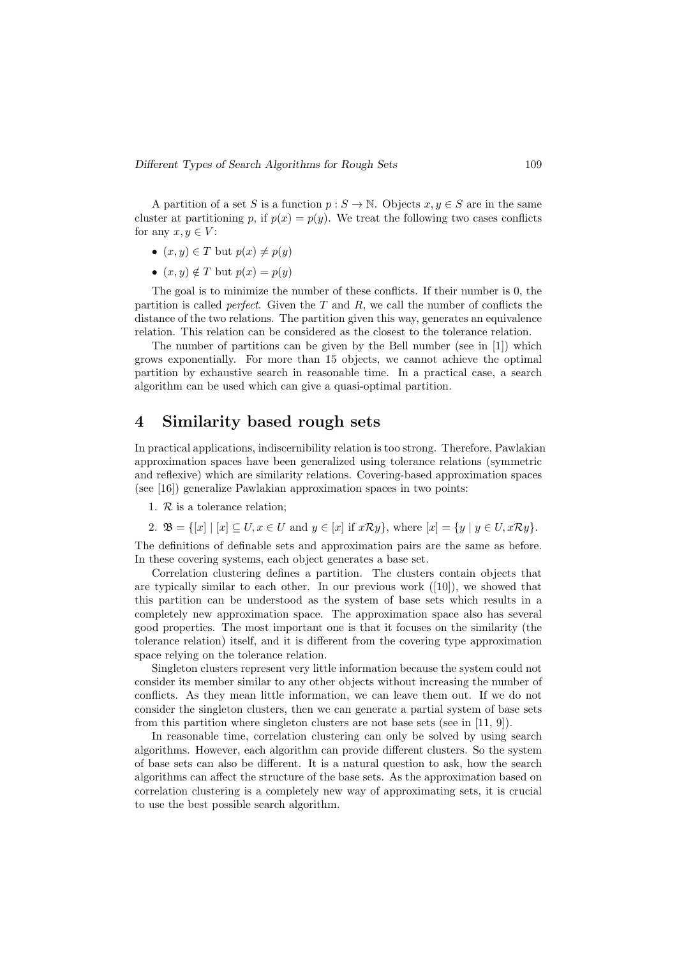A partition of a set S is a function  $p : S \to \mathbb{N}$ . Objects  $x, y \in S$  are in the same cluster at partitioning p, if  $p(x) = p(y)$ . We treat the following two cases conflicts for any  $x, y \in V$ :

- $(x, y) \in T$  but  $p(x) \neq p(y)$
- $(x, y) \notin T$  but  $p(x) = p(y)$

The goal is to minimize the number of these conflicts. If their number is 0, the partition is called *perfect*. Given the  $T$  and  $R$ , we call the number of conflicts the distance of the two relations. The partition given this way, generates an equivalence relation. This relation can be considered as the closest to the tolerance relation.

The number of partitions can be given by the Bell number (see in [1]) which grows exponentially. For more than 15 objects, we cannot achieve the optimal partition by exhaustive search in reasonable time. In a practical case, a search algorithm can be used which can give a quasi-optimal partition.

### 4 Similarity based rough sets

In practical applications, indiscernibility relation is too strong. Therefore, Pawlakian approximation spaces have been generalized using tolerance relations (symmetric and reflexive) which are similarity relations. Covering-based approximation spaces (see [16]) generalize Pawlakian approximation spaces in two points:

1.  $\mathcal{R}$  is a tolerance relation;

2.  $\mathfrak{B} = \{ [x] \mid [x] \subseteq U, x \in U \text{ and } y \in [x] \text{ if } x \mathcal{R} y \}, \text{ where } [x] = \{ y \mid y \in U, x \mathcal{R} y \}.$ 

The definitions of definable sets and approximation pairs are the same as before. In these covering systems, each object generates a base set.

Correlation clustering defines a partition. The clusters contain objects that are typically similar to each other. In our previous work  $([10])$ , we showed that this partition can be understood as the system of base sets which results in a completely new approximation space. The approximation space also has several good properties. The most important one is that it focuses on the similarity (the tolerance relation) itself, and it is different from the covering type approximation space relying on the tolerance relation.

Singleton clusters represent very little information because the system could not consider its member similar to any other objects without increasing the number of conflicts. As they mean little information, we can leave them out. If we do not consider the singleton clusters, then we can generate a partial system of base sets from this partition where singleton clusters are not base sets (see in [11, 9]).

In reasonable time, correlation clustering can only be solved by using search algorithms. However, each algorithm can provide different clusters. So the system of base sets can also be different. It is a natural question to ask, how the search algorithms can affect the structure of the base sets. As the approximation based on correlation clustering is a completely new way of approximating sets, it is crucial to use the best possible search algorithm.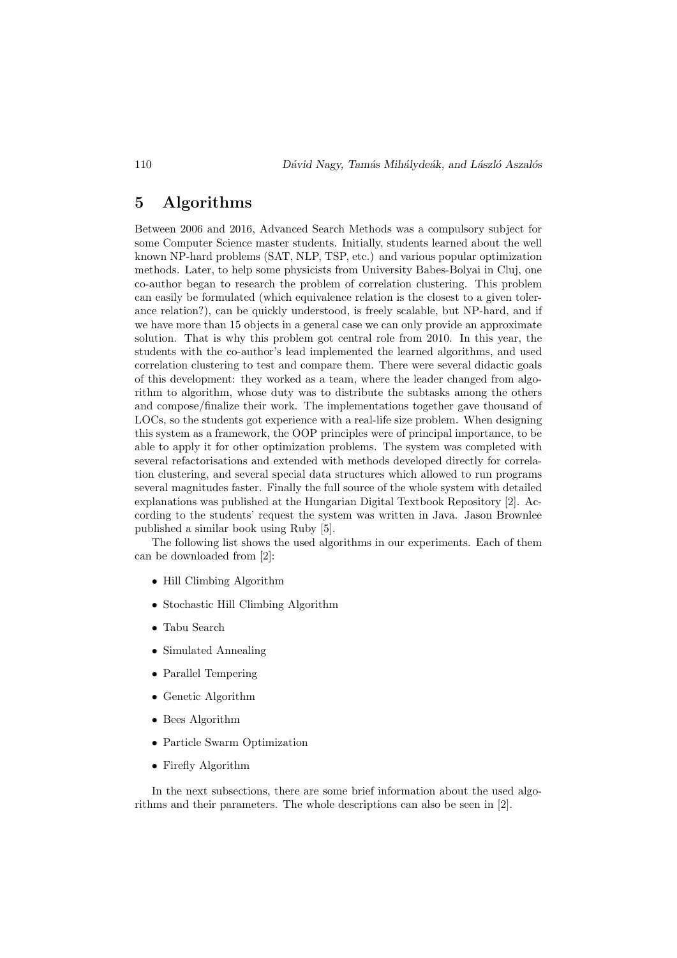### 5 Algorithms

Between 2006 and 2016, Advanced Search Methods was a compulsory subject for some Computer Science master students. Initially, students learned about the well known NP-hard problems (SAT, NLP, TSP, etc.) and various popular optimization methods. Later, to help some physicists from University Babes-Bolyai in Cluj, one co-author began to research the problem of correlation clustering. This problem can easily be formulated (which equivalence relation is the closest to a given tolerance relation?), can be quickly understood, is freely scalable, but NP-hard, and if we have more than 15 objects in a general case we can only provide an approximate solution. That is why this problem got central role from 2010. In this year, the students with the co-author's lead implemented the learned algorithms, and used correlation clustering to test and compare them. There were several didactic goals of this development: they worked as a team, where the leader changed from algorithm to algorithm, whose duty was to distribute the subtasks among the others and compose/finalize their work. The implementations together gave thousand of LOCs, so the students got experience with a real-life size problem. When designing this system as a framework, the OOP principles were of principal importance, to be able to apply it for other optimization problems. The system was completed with several refactorisations and extended with methods developed directly for correlation clustering, and several special data structures which allowed to run programs several magnitudes faster. Finally the full source of the whole system with detailed explanations was published at the Hungarian Digital Textbook Repository [2]. According to the students' request the system was written in Java. Jason Brownlee published a similar book using Ruby [5].

The following list shows the used algorithms in our experiments. Each of them can be downloaded from [2]:

- Hill Climbing Algorithm
- Stochastic Hill Climbing Algorithm
- Tabu Search
- Simulated Annealing
- Parallel Tempering
- Genetic Algorithm
- Bees Algorithm
- Particle Swarm Optimization
- Firefly Algorithm

In the next subsections, there are some brief information about the used algorithms and their parameters. The whole descriptions can also be seen in [2].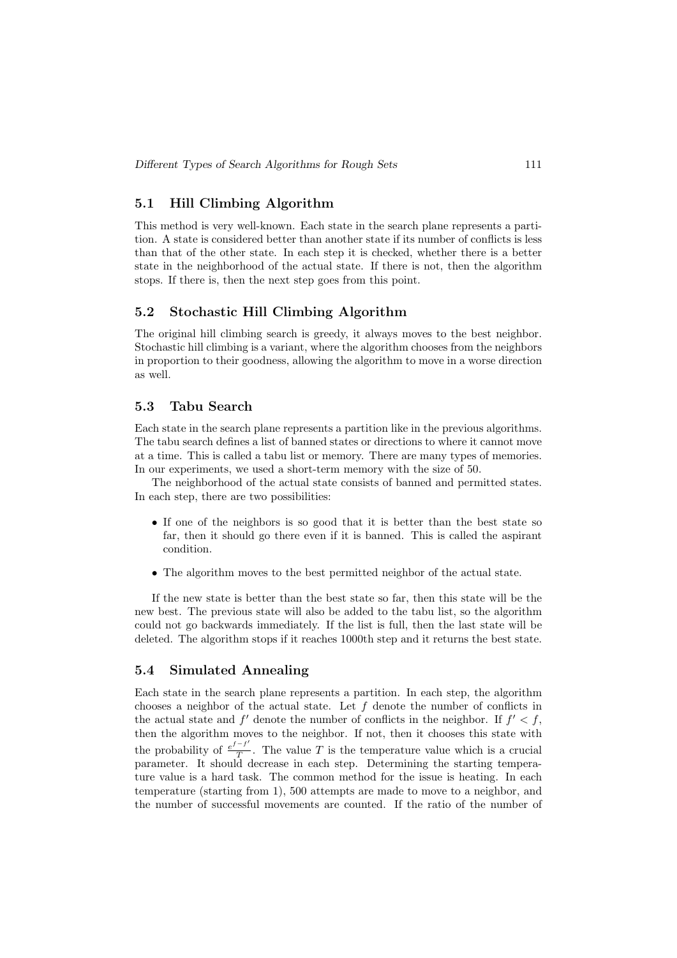#### 5.1 Hill Climbing Algorithm

This method is very well-known. Each state in the search plane represents a partition. A state is considered better than another state if its number of conflicts is less than that of the other state. In each step it is checked, whether there is a better state in the neighborhood of the actual state. If there is not, then the algorithm stops. If there is, then the next step goes from this point.

#### 5.2 Stochastic Hill Climbing Algorithm

The original hill climbing search is greedy, it always moves to the best neighbor. Stochastic hill climbing is a variant, where the algorithm chooses from the neighbors in proportion to their goodness, allowing the algorithm to move in a worse direction as well.

#### 5.3 Tabu Search

Each state in the search plane represents a partition like in the previous algorithms. The tabu search defines a list of banned states or directions to where it cannot move at a time. This is called a tabu list or memory. There are many types of memories. In our experiments, we used a short-term memory with the size of 50.

The neighborhood of the actual state consists of banned and permitted states. In each step, there are two possibilities:

- If one of the neighbors is so good that it is better than the best state so far, then it should go there even if it is banned. This is called the aspirant condition.
- The algorithm moves to the best permitted neighbor of the actual state.

If the new state is better than the best state so far, then this state will be the new best. The previous state will also be added to the tabu list, so the algorithm could not go backwards immediately. If the list is full, then the last state will be deleted. The algorithm stops if it reaches 1000th step and it returns the best state.

#### 5.4 Simulated Annealing

Each state in the search plane represents a partition. In each step, the algorithm chooses a neighbor of the actual state. Let  $f$  denote the number of conflicts in the actual state and  $f'$  denote the number of conflicts in the neighbor. If  $f' < f$ , then the algorithm moves to the neighbor. If not, then it chooses this state with the probability of  $\frac{e^{f-f}}{T}$  $\frac{U}{T}$ . The value T is the temperature value which is a crucial parameter. It should decrease in each step. Determining the starting temperature value is a hard task. The common method for the issue is heating. In each temperature (starting from 1), 500 attempts are made to move to a neighbor, and the number of successful movements are counted. If the ratio of the number of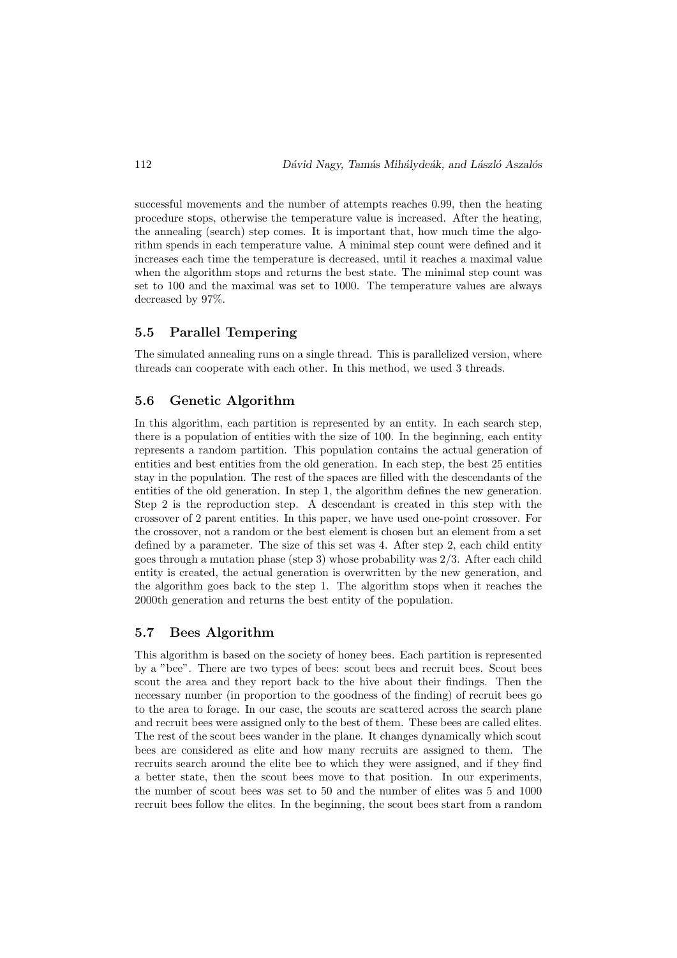successful movements and the number of attempts reaches 0.99, then the heating procedure stops, otherwise the temperature value is increased. After the heating, the annealing (search) step comes. It is important that, how much time the algorithm spends in each temperature value. A minimal step count were defined and it increases each time the temperature is decreased, until it reaches a maximal value when the algorithm stops and returns the best state. The minimal step count was set to 100 and the maximal was set to 1000. The temperature values are always decreased by 97%.

#### 5.5 Parallel Tempering

The simulated annealing runs on a single thread. This is parallelized version, where threads can cooperate with each other. In this method, we used 3 threads.

#### 5.6 Genetic Algorithm

In this algorithm, each partition is represented by an entity. In each search step, there is a population of entities with the size of 100. In the beginning, each entity represents a random partition. This population contains the actual generation of entities and best entities from the old generation. In each step, the best 25 entities stay in the population. The rest of the spaces are filled with the descendants of the entities of the old generation. In step 1, the algorithm defines the new generation. Step 2 is the reproduction step. A descendant is created in this step with the crossover of 2 parent entities. In this paper, we have used one-point crossover. For the crossover, not a random or the best element is chosen but an element from a set defined by a parameter. The size of this set was 4. After step 2, each child entity goes through a mutation phase (step 3) whose probability was 2/3. After each child entity is created, the actual generation is overwritten by the new generation, and the algorithm goes back to the step 1. The algorithm stops when it reaches the 2000th generation and returns the best entity of the population.

#### 5.7 Bees Algorithm

This algorithm is based on the society of honey bees. Each partition is represented by a "bee". There are two types of bees: scout bees and recruit bees. Scout bees scout the area and they report back to the hive about their findings. Then the necessary number (in proportion to the goodness of the finding) of recruit bees go to the area to forage. In our case, the scouts are scattered across the search plane and recruit bees were assigned only to the best of them. These bees are called elites. The rest of the scout bees wander in the plane. It changes dynamically which scout bees are considered as elite and how many recruits are assigned to them. The recruits search around the elite bee to which they were assigned, and if they find a better state, then the scout bees move to that position. In our experiments, the number of scout bees was set to 50 and the number of elites was 5 and 1000 recruit bees follow the elites. In the beginning, the scout bees start from a random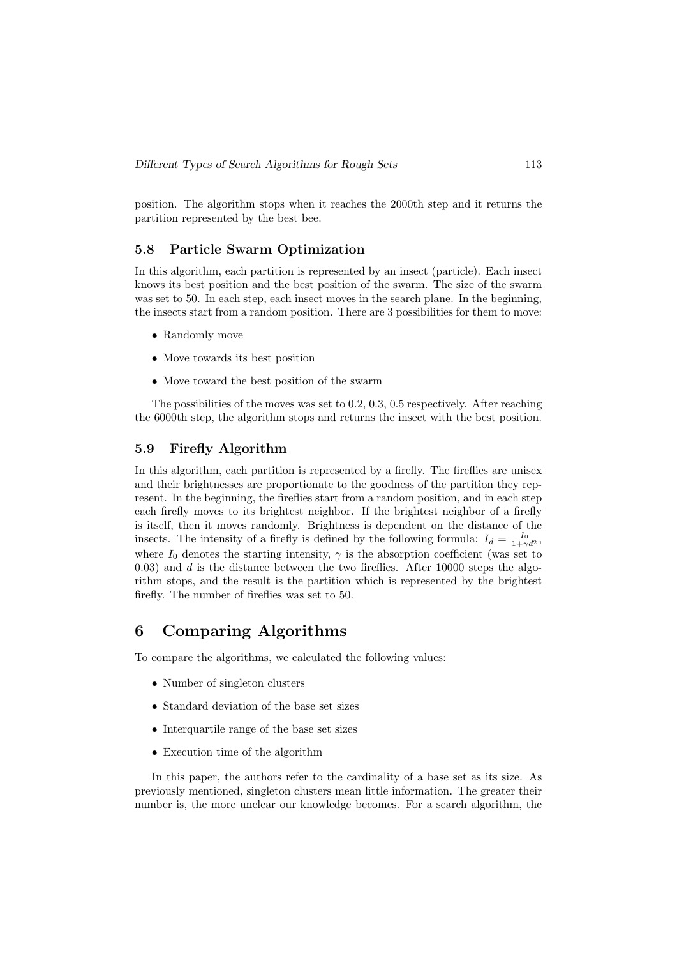position. The algorithm stops when it reaches the 2000th step and it returns the partition represented by the best bee.

#### 5.8 Particle Swarm Optimization

In this algorithm, each partition is represented by an insect (particle). Each insect knows its best position and the best position of the swarm. The size of the swarm was set to 50. In each step, each insect moves in the search plane. In the beginning, the insects start from a random position. There are 3 possibilities for them to move:

- Randomly move
- Move towards its best position
- Move toward the best position of the swarm

The possibilities of the moves was set to 0.2, 0.3, 0.5 respectively. After reaching the 6000th step, the algorithm stops and returns the insect with the best position.

#### 5.9 Firefly Algorithm

In this algorithm, each partition is represented by a firefly. The fireflies are unisex and their brightnesses are proportionate to the goodness of the partition they represent. In the beginning, the fireflies start from a random position, and in each step each firefly moves to its brightest neighbor. If the brightest neighbor of a firefly is itself, then it moves randomly. Brightness is dependent on the distance of the insects. The intensity of a firefly is defined by the following formula:  $I_d = \frac{I_0}{1+\gamma d^2}$ , where  $I_0$  denotes the starting intensity,  $\gamma$  is the absorption coefficient (was set to 0.03) and  $d$  is the distance between the two fireflies. After 10000 steps the algorithm stops, and the result is the partition which is represented by the brightest firefly. The number of fireflies was set to 50.

### 6 Comparing Algorithms

To compare the algorithms, we calculated the following values:

- Number of singleton clusters
- Standard deviation of the base set sizes
- Interquartile range of the base set sizes
- Execution time of the algorithm

In this paper, the authors refer to the cardinality of a base set as its size. As previously mentioned, singleton clusters mean little information. The greater their number is, the more unclear our knowledge becomes. For a search algorithm, the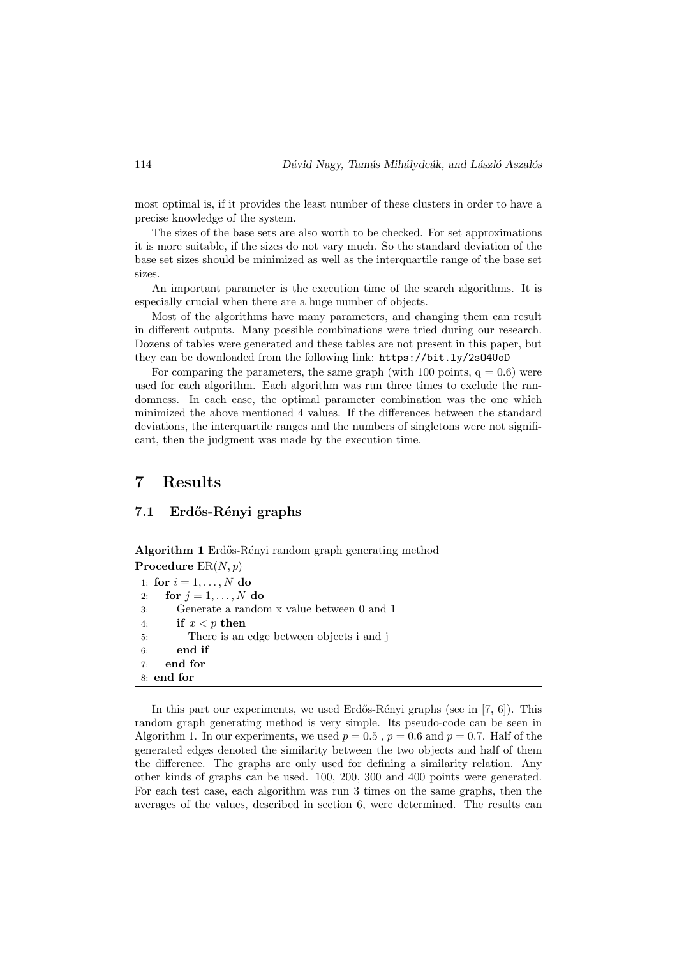most optimal is, if it provides the least number of these clusters in order to have a precise knowledge of the system.

The sizes of the base sets are also worth to be checked. For set approximations it is more suitable, if the sizes do not vary much. So the standard deviation of the base set sizes should be minimized as well as the interquartile range of the base set sizes.

An important parameter is the execution time of the search algorithms. It is especially crucial when there are a huge number of objects.

Most of the algorithms have many parameters, and changing them can result in different outputs. Many possible combinations were tried during our research. Dozens of tables were generated and these tables are not present in this paper, but they can be downloaded from the following link: https://bit.ly/2sO4UoD

For comparing the parameters, the same graph (with 100 points,  $q = 0.6$ ) were used for each algorithm. Each algorithm was run three times to exclude the randomness. In each case, the optimal parameter combination was the one which minimized the above mentioned 4 values. If the differences between the standard deviations, the interquartile ranges and the numbers of singletons were not significant, then the judgment was made by the execution time.

### 7 Results

#### 7.1 Erdős-Rényi graphs

| Algorithm 1 Erdős-Rényi random graph generating method |  |  |  |  |  |  |  |  |
|--------------------------------------------------------|--|--|--|--|--|--|--|--|
| <b>Procedure</b> $ER(N, p)$                            |  |  |  |  |  |  |  |  |
| 1: for $i = 1, , N$ do                                 |  |  |  |  |  |  |  |  |
| for $j = 1, \ldots, N$ do<br>2:                        |  |  |  |  |  |  |  |  |
| Generate a random x value between 0 and 1<br>3:        |  |  |  |  |  |  |  |  |
| if $x < p$ then<br>4:                                  |  |  |  |  |  |  |  |  |
| There is an edge between objects i and j<br>5:         |  |  |  |  |  |  |  |  |
| end if<br>6:                                           |  |  |  |  |  |  |  |  |
| end for<br>7:                                          |  |  |  |  |  |  |  |  |
| 8: end for                                             |  |  |  |  |  |  |  |  |
|                                                        |  |  |  |  |  |  |  |  |

In this part our experiments, we used Erdős-Rényi graphs (see in  $[7, 6]$ ). This random graph generating method is very simple. Its pseudo-code can be seen in Algorithm 1. In our experiments, we used  $p = 0.5$ ,  $p = 0.6$  and  $p = 0.7$ . Half of the generated edges denoted the similarity between the two objects and half of them the difference. The graphs are only used for defining a similarity relation. Any other kinds of graphs can be used. 100, 200, 300 and 400 points were generated. For each test case, each algorithm was run 3 times on the same graphs, then the averages of the values, described in section 6, were determined. The results can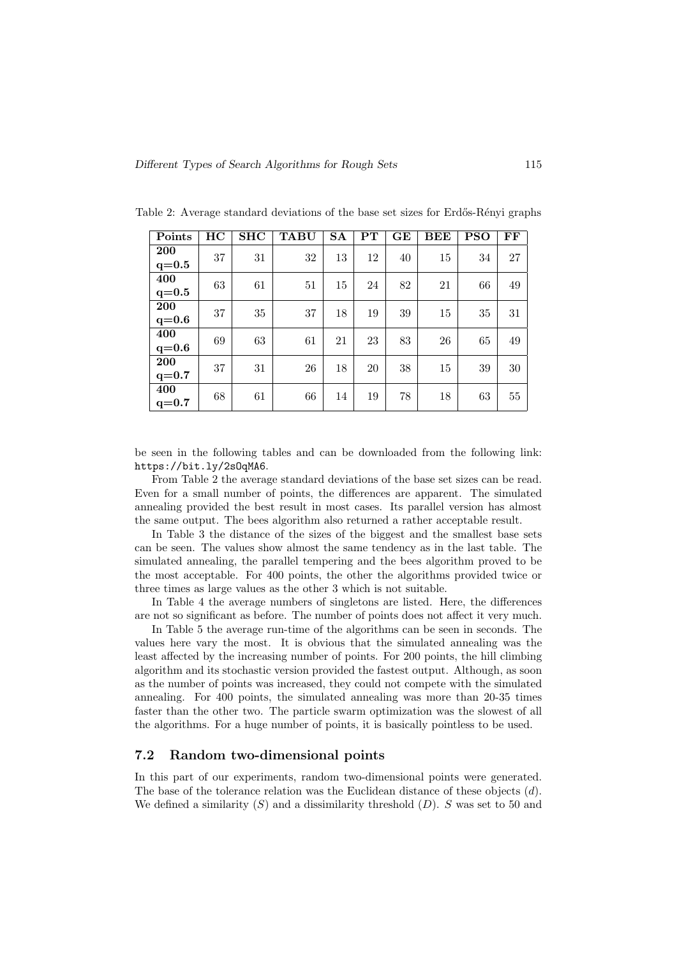| Points                | HC | <b>SHC</b> | <b>TABU</b> | <b>SA</b> | $\mathbf{PT}$ | GE | BEE | <b>PSO</b> | FF |
|-----------------------|----|------------|-------------|-----------|---------------|----|-----|------------|----|
| <b>200</b>            | 37 | 31         | 32          | 13        | 12            | 40 | 15  | 34         | 27 |
| $q = 0.5$             |    |            |             |           |               |    |     |            |    |
| 400<br>$q = 0.5$      | 63 | 61         | 51          | 15        | 24            | 82 | 21  | 66         | 49 |
| <b>200</b><br>$q=0.6$ | 37 | 35         | 37          | 18        | 19            | 39 | 15  | 35         | 31 |
| 400<br>$q=0.6$        | 69 | 63         | 61          | 21        | 23            | 83 | 26  | 65         | 49 |
| <b>200</b><br>$q=0.7$ | 37 | 31         | 26          | 18        | 20            | 38 | 15  | 39         | 30 |
| 400<br>$q=0.7$        | 68 | 61         | 66          | 14        | 19            | 78 | 18  | 63         | 55 |

Table 2: Average standard deviations of the base set sizes for Erdős-Rényi graphs

be seen in the following tables and can be downloaded from the following link: https://bit.ly/2sOqMA6.

From Table 2 the average standard deviations of the base set sizes can be read. Even for a small number of points, the differences are apparent. The simulated annealing provided the best result in most cases. Its parallel version has almost the same output. The bees algorithm also returned a rather acceptable result.

In Table 3 the distance of the sizes of the biggest and the smallest base sets can be seen. The values show almost the same tendency as in the last table. The simulated annealing, the parallel tempering and the bees algorithm proved to be the most acceptable. For 400 points, the other the algorithms provided twice or three times as large values as the other 3 which is not suitable.

In Table 4 the average numbers of singletons are listed. Here, the differences are not so significant as before. The number of points does not affect it very much.

In Table 5 the average run-time of the algorithms can be seen in seconds. The values here vary the most. It is obvious that the simulated annealing was the least affected by the increasing number of points. For 200 points, the hill climbing algorithm and its stochastic version provided the fastest output. Although, as soon as the number of points was increased, they could not compete with the simulated annealing. For 400 points, the simulated annealing was more than 20-35 times faster than the other two. The particle swarm optimization was the slowest of all the algorithms. For a huge number of points, it is basically pointless to be used.

#### 7.2 Random two-dimensional points

In this part of our experiments, random two-dimensional points were generated. The base of the tolerance relation was the Euclidean distance of these objects  $(d)$ . We defined a similarity  $(S)$  and a dissimilarity threshold  $(D)$ . S was set to 50 and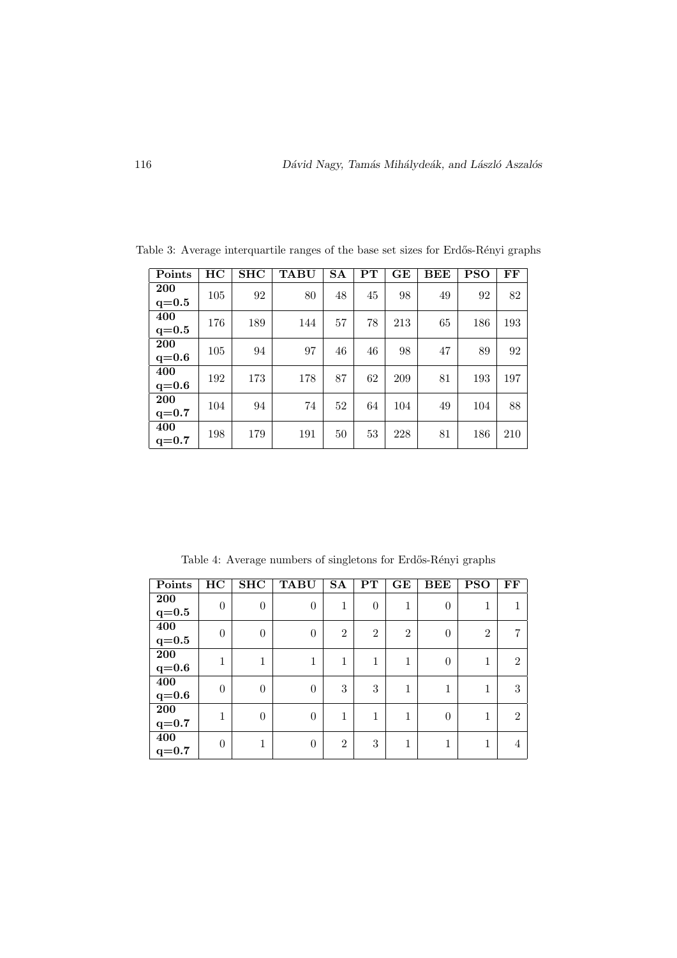| Points    | HC  | <b>SHC</b> | <b>TABU</b> | <b>SA</b> | $\mathbf{PT}$ | GE  | <b>BEE</b> | <b>PSO</b> | FF  |
|-----------|-----|------------|-------------|-----------|---------------|-----|------------|------------|-----|
| 200       | 105 | 92         | 80          | 48        | 45            | 98  | 49         | 92         | 82  |
| $q = 0.5$ |     |            |             |           |               |     |            |            |     |
| 400       | 176 | 189        | 144         | 57        | 78            | 213 | 65         | 186        | 193 |
| $q = 0.5$ |     |            |             |           |               |     |            |            |     |
| 200       | 105 | 94         | 97          | 46        | 46            | 98  | 47         | 89         | 92  |
| $q=0.6$   |     |            |             |           |               |     |            |            |     |
| 400       | 192 | 173        | 178         | 87        | 62            | 209 | 81         | 193        | 197 |
| $q=0.6$   |     |            |             |           |               |     |            |            |     |
| 200       | 104 | 94         | 74          | 52        | 64            | 104 | 49         | 104        | 88  |
| $q=0.7$   |     |            |             |           |               |     |            |            |     |
| 400       | 198 | 179        | 191         | 50        | 53            | 228 | 81         | 186        | 210 |
| $q=0.7$   |     |            |             |           |               |     |            |            |     |

Table 3: Average interquartile ranges of the base set sizes for Erdős-Rényi graphs

Table 4: Average numbers of singletons for Erdős-Rényi graphs

| Points             | HC             | SHC            | <b>TABU</b>    | $\mathbf{S}\mathbf{A}$ | $\mathbf{PT}$  | GE             | <b>BEE</b> | <b>PSO</b>     | FF             |  |
|--------------------|----------------|----------------|----------------|------------------------|----------------|----------------|------------|----------------|----------------|--|
| <b>200</b>         | $\overline{0}$ | $\overline{0}$ | $\overline{0}$ | $\mathbf{1}$           | $\theta$       | 1              | $\theta$   |                |                |  |
| $\mathrm{q}{=}0.5$ |                |                |                |                        |                |                |            |                |                |  |
| 400                | $\theta$       | $\theta$       | $\theta$       | $\overline{2}$         | $\overline{2}$ | $\overline{2}$ | $\theta$   | $\overline{2}$ | $\overline{7}$ |  |
| $\mathrm{q}{=}0.5$ |                |                |                |                        |                |                |            |                |                |  |
| <b>200</b>         | $\mathbf 1$    | 1              | 1              | 1                      | 1              | 1              | $\theta$   | 1              | $\overline{2}$ |  |
| $\mathbf{q}{=}0.6$ |                |                |                |                        |                |                |            |                |                |  |
| 400                | $\theta$       | $\overline{0}$ | $\theta$       | 3                      | 3              | 1              |            |                | 3              |  |
| $q=0.6$            |                |                |                |                        |                |                |            |                |                |  |
| ${\bf 200}$        | 1              | $\theta$       | $\theta$       | 1                      | 1              | 1              | $\theta$   | 1              | $\overline{2}$ |  |
| $q = 0.7$          |                |                |                |                        |                |                |            |                |                |  |
| $\overline{400}$   | $\Omega$       | 1              | $\theta$       | $\overline{2}$         | 3              | 1              |            |                | 4              |  |
| $q=0.7$            |                |                |                |                        |                |                |            |                |                |  |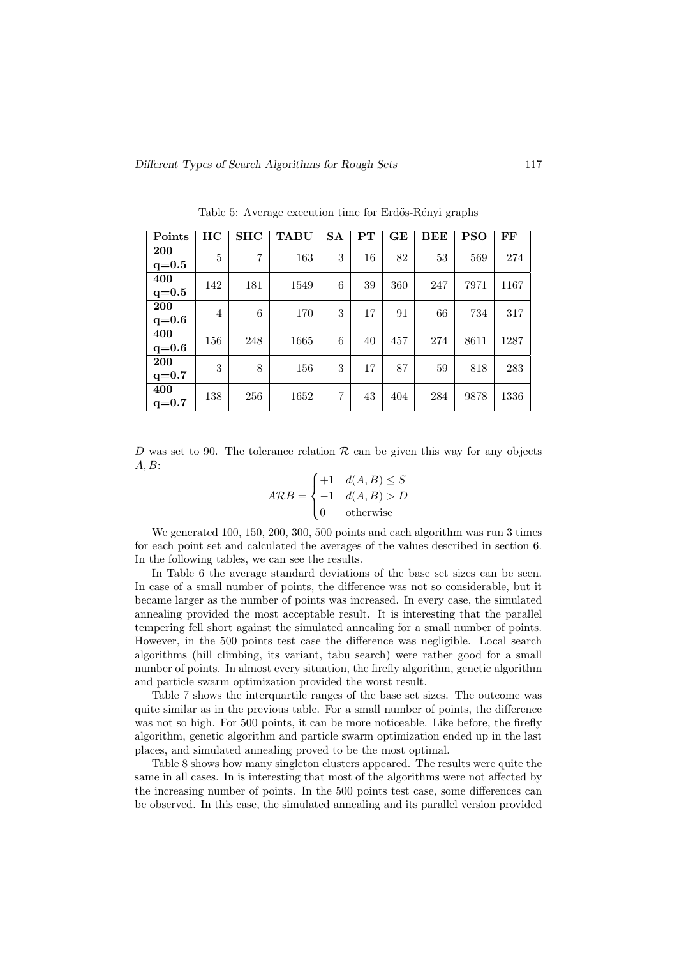| Points                  | HC             | <b>SHC</b> | <b>TABU</b> | <b>SA</b> | $\mathbf{PT}$ | GE  | BEE    | PSO  | FF   |
|-------------------------|----------------|------------|-------------|-----------|---------------|-----|--------|------|------|
| <b>200</b><br>$q = 0.5$ | 5              | 7          | 163         | 3         | 16            | 82  | $53\,$ | 569  | 274  |
| 400<br>$q = 0.5$        | 142            | 181        | 1549        | 6         | 39            | 360 | 247    | 7971 | 1167 |
| <b>200</b><br>$q=0.6$   | $\overline{4}$ | 6          | 170         | 3         | 17            | 91  | 66     | 734  | 317  |
| 400<br>$q=0.6$          | 156            | 248        | 1665        | 6         | 40            | 457 | 274    | 8611 | 1287 |
| <b>200</b><br>$q=0.7$   | 3              | 8          | 156         | 3         | 17            | 87  | 59     | 818  | 283  |
| 400<br>$q=0.7$          | 138            | 256        | 1652        | 7         | 43            | 404 | 284    | 9878 | 1336 |

Table 5: Average execution time for Erdős-Rényi graphs

D was set to 90. The tolerance relation  $\mathcal R$  can be given this way for any objects  $A, B$ :

$$
ARB = \begin{cases} +1 & d(A, B) \le S \\ -1 & d(A, B) > D \\ 0 & \text{otherwise} \end{cases}
$$

We generated 100, 150, 200, 300, 500 points and each algorithm was run 3 times for each point set and calculated the averages of the values described in section 6. In the following tables, we can see the results.

In Table 6 the average standard deviations of the base set sizes can be seen. In case of a small number of points, the difference was not so considerable, but it became larger as the number of points was increased. In every case, the simulated annealing provided the most acceptable result. It is interesting that the parallel tempering fell short against the simulated annealing for a small number of points. However, in the 500 points test case the difference was negligible. Local search algorithms (hill climbing, its variant, tabu search) were rather good for a small number of points. In almost every situation, the firefly algorithm, genetic algorithm and particle swarm optimization provided the worst result.

Table 7 shows the interquartile ranges of the base set sizes. The outcome was quite similar as in the previous table. For a small number of points, the difference was not so high. For 500 points, it can be more noticeable. Like before, the firefly algorithm, genetic algorithm and particle swarm optimization ended up in the last places, and simulated annealing proved to be the most optimal.

Table 8 shows how many singleton clusters appeared. The results were quite the same in all cases. In is interesting that most of the algorithms were not affected by the increasing number of points. In the 500 points test case, some differences can be observed. In this case, the simulated annealing and its parallel version provided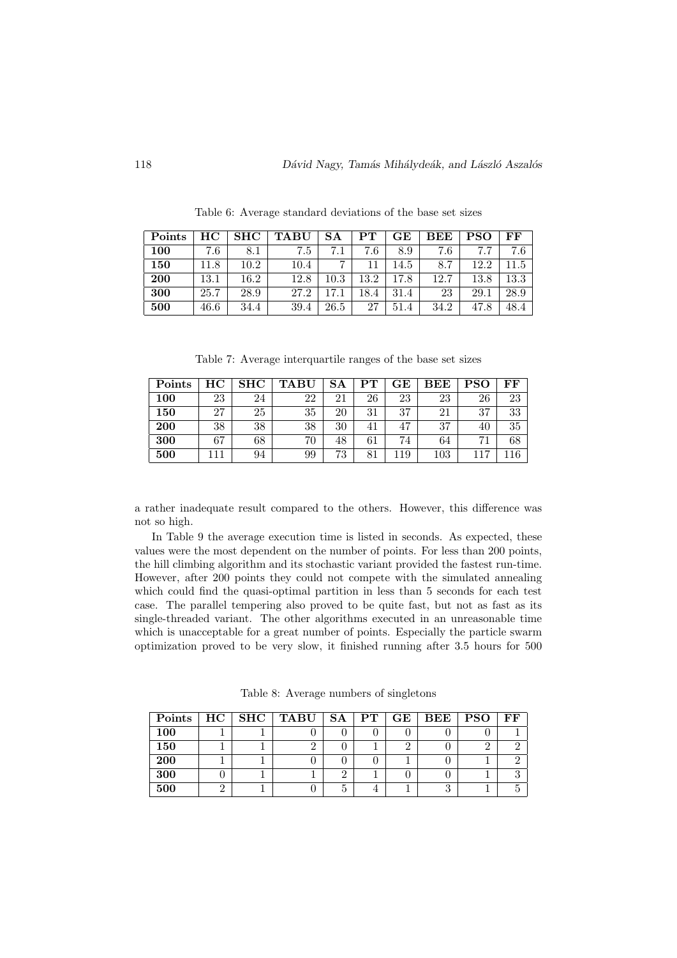| Points | HС   | $_{\rm SHC}$ | <b>TABU</b> | SА       | ${\bf PT}$ | $\bf G \bf E$ | BEE  | PSO  | FF   |
|--------|------|--------------|-------------|----------|------------|---------------|------|------|------|
| 100    | 7.6  | 8.1          | 7.5         |          | 7.6        | 8.9           | 7.6  | 77   | 7.6  |
| 150    | 11.8 | $10.2\,$     | 10.4        |          |            | 14.5          | 8.7  | 12.2 | 11.5 |
| 200    | 13.1 | 16.2         | 12.8        | $10.3\,$ | 13.2       | 17.8          | 12.7 | 13.8 | 13.3 |
| 300    | 25.7 | 28.9         | 27.2        | 17       | 18.4       | 31.4          | 23   | 29.1 | 28.9 |
| 500    | 46.6 | 34.4         | 39.4        | 26.5     | 27         | 51.4          | 34.2 | 47.8 | 48.4 |

Table 6: Average standard deviations of the base set sizes

Table 7: Average interquartile ranges of the base set sizes

| Points | HС | <b>SHC</b> | <b>TABU</b> | SA | ${\rm PT}$ | $\bf{GE}$ | $_{\rm BEE}$ | <b>PSO</b>     | FF |
|--------|----|------------|-------------|----|------------|-----------|--------------|----------------|----|
| 100    | 23 | 24         | 22          | 21 | 26         | 23        | 23           | 26             | 23 |
| 150    | 27 | 25         | 35          | 20 | 31         | 37        | 21           | 37             | 33 |
| 200    | 38 | 38         | 38          | 30 | 41         | 47        | 37           | 40             | 35 |
| 300    | 67 | 68         | 70          | 48 | 61         | 74        | 64           | 71             | 68 |
| 500    |    | 94         | 99          | 73 | 81         | 19        | $103\,$      | $\overline{ }$ | 16 |

a rather inadequate result compared to the others. However, this difference was not so high.

In Table 9 the average execution time is listed in seconds. As expected, these values were the most dependent on the number of points. For less than 200 points, the hill climbing algorithm and its stochastic variant provided the fastest run-time. However, after 200 points they could not compete with the simulated annealing which could find the quasi-optimal partition in less than 5 seconds for each test case. The parallel tempering also proved to be quite fast, but not as fast as its single-threaded variant. The other algorithms executed in an unreasonable time which is unacceptable for a great number of points. Especially the particle swarm optimization proved to be very slow, it finished running after 3.5 hours for 500

| Points     |  | $HC$   SHC   TABU   SA   PT   GE |  | $\overline{\phantom{a}}$ BEE $\overline{\phantom{a}}$ | PSO | FF |
|------------|--|----------------------------------|--|-------------------------------------------------------|-----|----|
| <b>100</b> |  |                                  |  |                                                       |     |    |
| 150        |  |                                  |  |                                                       |     |    |
| 200        |  |                                  |  |                                                       |     |    |
| 300        |  |                                  |  |                                                       |     |    |
| 500        |  |                                  |  |                                                       |     |    |

Table 8: Average numbers of singletons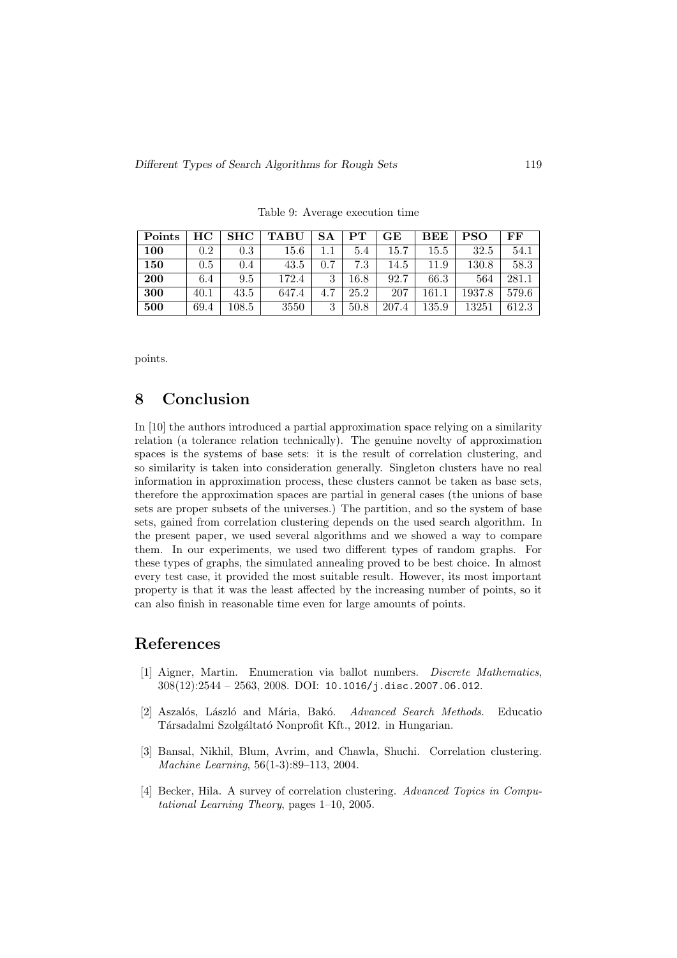| Points | HС   | <b>SHC</b> | <b>TABU</b> | <b>SA</b> | $\mathbf{PT}$ | GE    | BEE       | <b>PSO</b> | FF    |
|--------|------|------------|-------------|-----------|---------------|-------|-----------|------------|-------|
| 100    | 0.2  | 0.3        | 15.6        |           | 5.4           | 15.7  | $15.5\,$  | 32.5       | 54.1  |
| 150    | 0.5  | 0.4        | 43.5        | 0.7       | 7.3           | 14.5  | 11.9      | 130.8      | 58.3  |
| 200    | 6.4  | 9.5        | 172.4       | 3         | $16.8\,$      | 92.7  | 66.3      | 564        | 281.1 |
| 300    | 40.1 | 43.5       | 647.4       | 4.7       | 25.2          | 207   | 161.      | 1937.8     | 579.6 |
| 500    | 69.4 | $108.5\,$  | 3550        | 3         | 50.8          | 207.4 | $135.9\,$ | 13251      | 612.3 |

Table 9: Average execution time

points.

# 8 Conclusion

In [10] the authors introduced a partial approximation space relying on a similarity relation (a tolerance relation technically). The genuine novelty of approximation spaces is the systems of base sets: it is the result of correlation clustering, and so similarity is taken into consideration generally. Singleton clusters have no real information in approximation process, these clusters cannot be taken as base sets, therefore the approximation spaces are partial in general cases (the unions of base sets are proper subsets of the universes.) The partition, and so the system of base sets, gained from correlation clustering depends on the used search algorithm. In the present paper, we used several algorithms and we showed a way to compare them. In our experiments, we used two different types of random graphs. For these types of graphs, the simulated annealing proved to be best choice. In almost every test case, it provided the most suitable result. However, its most important property is that it was the least affected by the increasing number of points, so it can also finish in reasonable time even for large amounts of points.

# References

- [1] Aigner, Martin. Enumeration via ballot numbers. Discrete Mathematics,  $308(12):2544 - 2563, 2008$ . DOI: 10.1016/j.disc.2007.06.012.
- [2] Aszalós, László and Mária, Bakó. Advanced Search Methods. Educatio Társadalmi Szolgáltató Nonprofit Kft., 2012. in Hungarian.
- [3] Bansal, Nikhil, Blum, Avrim, and Chawla, Shuchi. Correlation clustering. Machine Learning, 56(1-3):89–113, 2004.
- [4] Becker, Hila. A survey of correlation clustering. Advanced Topics in Computational Learning Theory, pages 1–10, 2005.